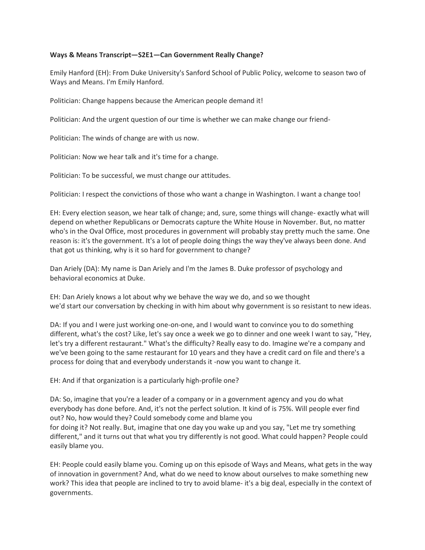## **Ways & Means Transcript—S2E1—Can Government Really Change?**

Emily Hanford (EH): From Duke University's Sanford School of Public Policy, welcome to season two of Ways and Means. I'm Emily Hanford.

Politician: Change happens because the American people demand it!

Politician: And the urgent question of our time is whether we can make change our friend-

Politician: The winds of change are with us now.

Politician: Now we hear talk and it's time for a change.

Politician: To be successful, we must change our attitudes.

Politician: I respect the convictions of those who want a change in Washington. I want a change too!

EH: Every election season, we hear talk of change; and, sure, some things will change- exactly what will depend on whether Republicans or Democrats capture the White House in November. But, no matter who's in the Oval Office, most procedures in government will probably stay pretty much the same. One reason is: it's the government. It's a lot of people doing things the way they've always been done. And that got us thinking, why is it so hard for government to change?

Dan Ariely (DA): My name is Dan Ariely and I'm the James B. Duke professor of psychology and behavioral economics at Duke.

EH: Dan Ariely knows a lot about why we behave the way we do, and so we thought we'd start our conversation by checking in with him about why government is so resistant to new ideas.

DA: If you and I were just working one-on-one, and I would want to convince you to do something different, what's the cost? Like, let's say once a week we go to dinner and one week I want to say, "Hey, let's try a different restaurant." What's the difficulty? Really easy to do. Imagine we're a company and we've been going to the same restaurant for 10 years and they have a credit card on file and there's a process for doing that and everybody understands it -now you want to change it.

EH: And if that organization is a particularly high-profile one?

DA: So, imagine that you're a leader of a company or in a government agency and you do what everybody has done before. And, it's not the perfect solution. It kind of is 75%. Will people ever find out? No, how would they? Could somebody come and blame you for doing it? Not really. But, imagine that one day you wake up and you say, "Let me try something different," and it turns out that what you try differently is not good. What could happen? People could easily blame you.

EH: People could easily blame you. Coming up on this episode of Ways and Means, what gets in the way of innovation in government? And, what do we need to know about ourselves to make something new work? This idea that people are inclined to try to avoid blame- it's a big deal, especially in the context of governments.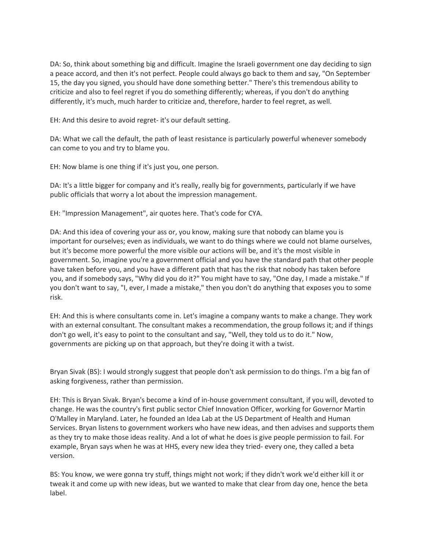DA: So, think about something big and difficult. Imagine the Israeli government one day deciding to sign a peace accord, and then it's not perfect. People could always go back to them and say, "On September 15, the day you signed, you should have done something better." There's this tremendous ability to criticize and also to feel regret if you do something differently; whereas, if you don't do anything differently, it's much, much harder to criticize and, therefore, harder to feel regret, as well.

EH: And this desire to avoid regret- it's our default setting.

DA: What we call the default, the path of least resistance is particularly powerful whenever somebody can come to you and try to blame you.

EH: Now blame is one thing if it's just you, one person.

DA: It's a little bigger for company and it's really, really big for governments, particularly if we have public officials that worry a lot about the impression management.

EH: "Impression Management", air quotes here. That's code for CYA.

DA: And this idea of covering your ass or, you know, making sure that nobody can blame you is important for ourselves; even as individuals, we want to do things where we could not blame ourselves, but it's become more powerful the more visible our actions will be, and it's the most visible in government. So, imagine you're a government official and you have the standard path that other people have taken before you, and you have a different path that has the risk that nobody has taken before you, and if somebody says, "Why did you do it?" You might have to say, "One day, I made a mistake." If you don't want to say, "I, ever, I made a mistake," then you don't do anything that exposes you to some risk.

EH: And this is where consultants come in. Let's imagine a company wants to make a change. They work with an external consultant. The consultant makes a recommendation, the group follows it; and if things don't go well, it's easy to point to the consultant and say, "Well, they told us to do it." Now, governments are picking up on that approach, but they're doing it with a twist.

Bryan Sivak (BS): I would strongly suggest that people don't ask permission to do things. I'm a big fan of asking forgiveness, rather than permission.

EH: This is Bryan Sivak. Bryan's become a kind of in-house government consultant, if you will, devoted to change. He was the country's first public sector Chief Innovation Officer, working for Governor Martin O'Malley in Maryland. Later, he founded an Idea Lab at the US Department of Health and Human Services. Bryan listens to government workers who have new ideas, and then advises and supports them as they try to make those ideas reality. And a lot of what he does is give people permission to fail. For example, Bryan says when he was at HHS, every new idea they tried- every one, they called a beta version.

BS: You know, we were gonna try stuff, things might not work; if they didn't work we'd either kill it or tweak it and come up with new ideas, but we wanted to make that clear from day one, hence the beta label.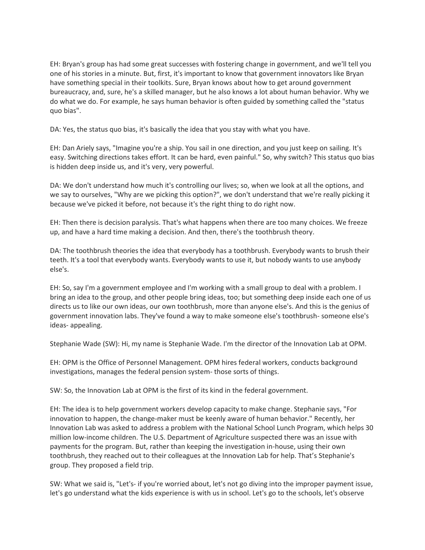EH: Bryan's group has had some great successes with fostering change in government, and we'll tell you one of his stories in a minute. But, first, it's important to know that government innovators like Bryan have something special in their toolkits. Sure, Bryan knows about how to get around government bureaucracy, and, sure, he's a skilled manager, but he also knows a lot about human behavior. Why we do what we do. For example, he says human behavior is often guided by something called the "status quo bias".

DA: Yes, the status quo bias, it's basically the idea that you stay with what you have.

EH: Dan Ariely says, "Imagine you're a ship. You sail in one direction, and you just keep on sailing. It's easy. Switching directions takes effort. It can be hard, even painful." So, why switch? This status quo bias is hidden deep inside us, and it's very, very powerful.

DA: We don't understand how much it's controlling our lives; so, when we look at all the options, and we say to ourselves, "Why are we picking this option?", we don't understand that we're really picking it because we've picked it before, not because it's the right thing to do right now.

EH: Then there is decision paralysis. That's what happens when there are too many choices. We freeze up, and have a hard time making a decision. And then, there's the toothbrush theory.

DA: The toothbrush theories the idea that everybody has a toothbrush. Everybody wants to brush their teeth. It's a tool that everybody wants. Everybody wants to use it, but nobody wants to use anybody else's.

EH: So, say I'm a government employee and I'm working with a small group to deal with a problem. I bring an idea to the group, and other people bring ideas, too; but something deep inside each one of us directs us to like our own ideas, our own toothbrush, more than anyone else's. And this is the genius of government innovation labs. They've found a way to make someone else's toothbrush- someone else's ideas- appealing.

Stephanie Wade (SW): Hi, my name is Stephanie Wade. I'm the director of the Innovation Lab at OPM.

EH: OPM is the Office of Personnel Management. OPM hires federal workers, conducts background investigations, manages the federal pension system- those sorts of things.

SW: So, the Innovation Lab at OPM is the first of its kind in the federal government.

EH: The idea is to help government workers develop capacity to make change. Stephanie says, "For innovation to happen, the change-maker must be keenly aware of human behavior." Recently, her Innovation Lab was asked to address a problem with the National School Lunch Program, which helps 30 million low-income children. The U.S. Department of Agriculture suspected there was an issue with payments for the program. But, rather than keeping the investigation in-house, using their own toothbrush, they reached out to their colleagues at the Innovation Lab for help. That's Stephanie's group. They proposed a field trip.

SW: What we said is, "Let's- if you're worried about, let's not go diving into the improper payment issue, let's go understand what the kids experience is with us in school. Let's go to the schools, let's observe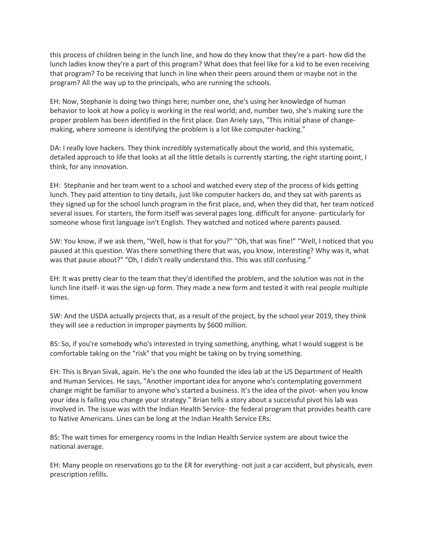this process of children being in the lunch line, and how do they know that they're a part- how did the lunch ladies know they're a part of this program? What does that feel like for a kid to be even receiving that program? To be receiving that lunch in line when their peers around them or maybe not in the program? All the way up to the principals, who are running the schools.

EH: Now, Stephanie is doing two things here; number one, she's using her knowledge of human behavior to look at how a policy is working in the real world; and, number two, she's making sure the proper problem has been identified in the first place. Dan Ariely says, "This initial phase of changemaking, where someone is identifying the problem is a lot like computer-hacking."

DA: I really love hackers. They think incredibly systematically about the world, and this systematic, detailed approach to life that looks at all the little details is currently starting, the right starting point, I think, for any innovation.

EH: Stephanie and her team went to a school and watched every step of the process of kids getting lunch. They paid attention to tiny details, just like computer hackers do, and they sat with parents as they signed up for the school lunch program in the first place, and, when they did that, her team noticed several issues. For starters, the form itself was several pages long. difficult for anyone- particularly for someone whose first language isn't English. They watched and noticed where parents paused.

SW: You know, if we ask them, "Well, how is that for you?" "Oh, that was fine!" "Well, I noticed that you paused at this question. Was there something there that was, you know, interesting? Why was it, what was that pause about?" "Oh, I didn't really understand this. This was still confusing."

EH: It was pretty clear to the team that they'd identified the problem, and the solution was not in the lunch line itself- it was the sign-up form. They made a new form and tested it with real people multiple times.

SW: And the USDA actually projects that, as a result of the project, by the school year 2019, they think they will see a reduction in improper payments by \$600 million.

BS: So, if you're somebody who's interested in trying something, anything, what I would suggest is be comfortable taking on the "risk" that you might be taking on by trying something.

EH: This is Bryan Sivak, again. He's the one who founded the idea lab at the US Department of Health and Human Services. He says, "Another important idea for anyone who's contemplating government change might be familiar to anyone who's started a business. It's the idea of the pivot- when you know your idea is failing you change your strategy." Brian tells a story about a successful pivot his lab was involved in. The issue was with the Indian Health Service- the federal program that provides health care to Native Americans. Lines can be long at the Indian Health Service ERs.

BS: The wait times for emergency rooms in the Indian Health Service system are about twice the national average.

EH: Many people on reservations go to the ER for everything- not just a car accident, but physicals, even prescription refills.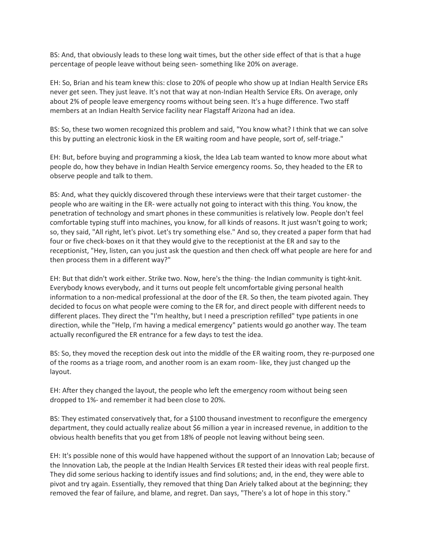BS: And, that obviously leads to these long wait times, but the other side effect of that is that a huge percentage of people leave without being seen- something like 20% on average.

EH: So, Brian and his team knew this: close to 20% of people who show up at Indian Health Service ERs never get seen. They just leave. It's not that way at non-Indian Health Service ERs. On average, only about 2% of people leave emergency rooms without being seen. It's a huge difference. Two staff members at an Indian Health Service facility near Flagstaff Arizona had an idea.

BS: So, these two women recognized this problem and said, "You know what? I think that we can solve this by putting an electronic kiosk in the ER waiting room and have people, sort of, self-triage."

EH: But, before buying and programming a kiosk, the Idea Lab team wanted to know more about what people do, how they behave in Indian Health Service emergency rooms. So, they headed to the ER to observe people and talk to them.

BS: And, what they quickly discovered through these interviews were that their target customer- the people who are waiting in the ER- were actually not going to interact with this thing. You know, the penetration of technology and smart phones in these communities is relatively low. People don't feel comfortable typing stuff into machines, you know, for all kinds of reasons. It just wasn't going to work; so, they said, "All right, let's pivot. Let's try something else." And so, they created a paper form that had four or five check-boxes on it that they would give to the receptionist at the ER and say to the receptionist, "Hey, listen, can you just ask the question and then check off what people are here for and then process them in a different way?"

EH: But that didn't work either. Strike two. Now, here's the thing- the Indian community is tight-knit. Everybody knows everybody, and it turns out people felt uncomfortable giving personal health information to a non-medical professional at the door of the ER. So then, the team pivoted again. They decided to focus on what people were coming to the ER for, and direct people with different needs to different places. They direct the "I'm healthy, but I need a prescription refilled" type patients in one direction, while the "Help, I'm having a medical emergency" patients would go another way. The team actually reconfigured the ER entrance for a few days to test the idea.

BS: So, they moved the reception desk out into the middle of the ER waiting room, they re-purposed one of the rooms as a triage room, and another room is an exam room- like, they just changed up the layout.

EH: After they changed the layout, the people who left the emergency room without being seen dropped to 1%- and remember it had been close to 20%.

BS: They estimated conservatively that, for a \$100 thousand investment to reconfigure the emergency department, they could actually realize about \$6 million a year in increased revenue, in addition to the obvious health benefits that you get from 18% of people not leaving without being seen.

EH: It's possible none of this would have happened without the support of an Innovation Lab; because of the Innovation Lab, the people at the Indian Health Services ER tested their ideas with real people first. They did some serious hacking to identify issues and find solutions; and, in the end, they were able to pivot and try again. Essentially, they removed that thing Dan Ariely talked about at the beginning; they removed the fear of failure, and blame, and regret. Dan says, "There's a lot of hope in this story."